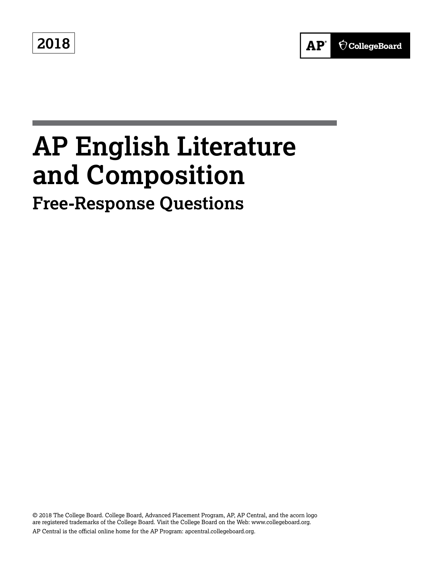**2018**



# **AP English Literature and Composition**

## **Free-Response Questions**

© 2018 The College Board. College Board, Advanced Placement Program, AP, AP Central, and the acorn logo are registered trademarks of the College Board. Visit the College Board on the Web: [www.collegeboard.org.](www.collegeboard.org) AP Central is the official online home for the AP Program: [apcentral.collegeboard.org.](apcentral.collegeboard.org)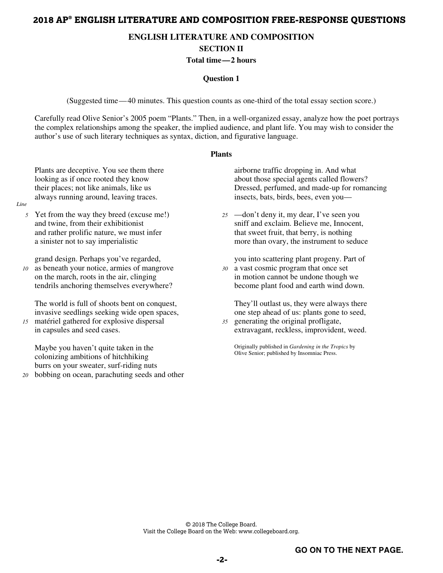### **2018 AP® ENGLISH LITERATURE AND COMPOSITION FREE-RESPONSE QUESTIONS**

#### **ENGLISH LITERATURE AND COMPOSITION**

**SECTION II** 

#### **Total time —2 hours**

#### **Question 1**

(Suggested time — 40 minutes. This question counts as one-third of the total essay section score.)

Carefully read Olive Senior's 2005 poem "Plants." Then, in a well-organized essay, analyze how the poet portrays the complex relationships among the speaker, the implied audience, and plant life. You may wish to consider the author's use of such literary techniques as syntax, diction, and figurative language.

#### **Plants**

Plants are deceptive. You see them there looking as if once rooted they know their places; not like animals, like us always running around, leaving traces.

*Line* 

*5* Yet from the way they breed (excuse me!) and twine, from their exhibitionist and rather prolific nature, we must infer a sinister not to say imperialistic

grand design. Perhaps you've regarded,

*10* as beneath your notice, armies of mangrove on the march, roots in the air, clinging tendrils anchoring themselves everywhere?

The world is full of shoots bent on conquest, invasive seedlings seeking wide open spaces,

*15* matériel gathered for explosive dispersal in capsules and seed cases.

Maybe you haven't quite taken in the colonizing ambitions of hitchhiking burrs on your sweater, surf-riding nuts

*20* bobbing on ocean, parachuting seeds and other

airborne traffic dropping in. And what about those special agents called flowers? Dressed, perfumed, and made-up for romancing insects, bats, birds, bees, even you—

*25* —don't deny it, my dear, I've seen you sniff and exclaim. Believe me, Innocent, that sweet fruit, that berry, is nothing more than ovary, the instrument to seduce

you into scattering plant progeny. Part of

*30* a vast cosmic program that once set in motion cannot be undone though we become plant food and earth wind down.

They'll outlast us, they were always there one step ahead of us: plants gone to seed,

*35* generating the original profligate, extravagant, reckless, improvident, weed.

Originally published in *Gardening in the Tropics* by Olive Senior; published by Insomniac Press.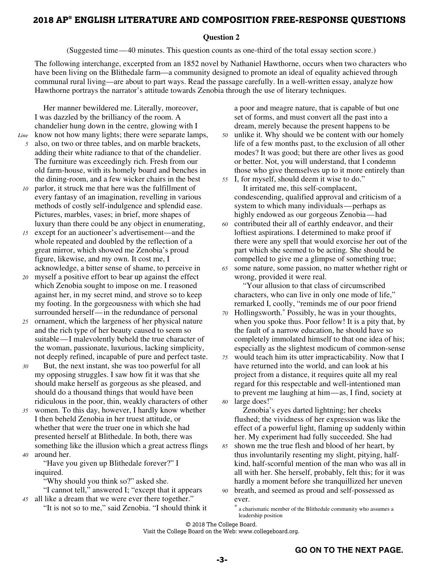#### **2018 AP® ENGLISH LITERATURE AND COMPOSITION FREE-RESPONSE QUESTIONS**

#### **Question 2**

(Suggested time — 40 minutes. This question counts as one-third of the total essay section score.)

The following interchange, excerpted from an 1852 novel by Nathaniel Hawthorne, occurs when two characters who have been living on the Blithedale farm—a community designed to promote an ideal of equality achieved through communal rural living—are about to part ways. Read the passage carefully. In a well-written essay, analyze how Hawthorne portrays the narrator's attitude towards Zenobia through the use of literary techniques.

Her manner bewildered me. Literally, moreover, I was dazzled by the brilliancy of the room. A chandelier hung down in the centre, glowing with I *Line* know not how many lights; there were separate lamps,

- *5* also, on two or three tables, and on marble brackets, adding their white radiance to that of the chandelier. The furniture was exceedingly rich. Fresh from our old farm-house, with its homely board and benches in the dining-room, and a few wicker chairs in the best
- *10* parlor, it struck me that here was the fulfillment of every fantasy of an imagination, revelling in various methods of costly self-indulgence and splendid ease. Pictures, marbles, vases; in brief, more shapes of luxury than there could be any object in enumerating,
- *15* except for an auctioneer's advertisement—and the whole repeated and doubled by the reflection of a great mirror, which showed me Zenobia's proud figure, likewise, and my own. It cost me, I acknowledge, a bitter sense of shame, to perceive in
- *20* myself a positive effort to bear up against the effect which Zenobia sought to impose on me. I reasoned against her, in my secret mind, and strove so to keep my footing. In the gorgeousness with which she had surrounded herself— in the redundance of personal
- *25* ornament, which the largeness of her physical nature and the rich type of her beauty caused to seem so suitable — I malevolently beheld the true character of the woman, passionate, luxurious, lacking simplicity, not deeply refined, incapable of pure and perfect taste.
- *30* But, the next instant, she was too powerful for all my opposing struggles. I saw how fit it was that she should make herself as gorgeous as she pleased, and should do a thousand things that would have been ridiculous in the poor, thin, weakly characters of other
- *35* women. To this day, however, I hardly know whether I then beheld Zenobia in her truest attitude, or whether that were the truer one in which she had presented herself at Blithedale. In both, there was something like the illusion which a great actress flings *40* around her.

"Have you given up Blithedale forever?" I inquired.

"Why should you think so?" asked she.

"I cannot tell," answered I; "except that it appears *45* all like a dream that we were ever there together."

"It is not so to me," said Zenobia. "I should think it

a poor and meagre nature, that is capable of but one set of forms, and must convert all the past into a dream, merely because the present happens to be

- *50* unlike it. Why should we be content with our homely life of a few months past, to the exclusion of all other modes? It was good; but there are other lives as good or better. Not, you will understand, that I condemn those who give themselves up to it more entirely than
- *55* I, for myself, should deem it wise to do." It irritated me, this self-complacent, condescending, qualified approval and criticism of a system to which many individuals —perhaps as highly endowed as our gorgeous Zenobia — had
- *60* contributed their all of earthly endeavor, and their loftiest aspirations. I determined to make proof if there were any spell that would exorcise her out of the part which she seemed to be acting. She should be compelled to give me a glimpse of something true;
- *65* some nature, some passion, no matter whether right or wrong, provided it were real.

"Your allusion to that class of circumscribed characters, who can live in only one mode of life," remarked I, coolly, "reminds me of our poor friend

- *70* Hollingsworth.\* Possibly, he was in your thoughts, when you spoke thus. Poor fellow! It is a pity that, by the fault of a narrow education, he should have so completely immolated himself to that one idea of his; especially as the slightest modicum of common-sense
- *75* would teach him its utter impracticability. Now that I have returned into the world, and can look at his project from a distance, it requires quite all my real regard for this respectable and well-intentioned man to prevent me laughing at him — as, I find, society at *80* large does!"

Zenobia's eyes darted lightning; her cheeks flushed; the vividness of her expression was like the effect of a powerful light, flaming up suddenly within her. My experiment had fully succeeded. She had

- *85* shown me the true flesh and blood of her heart, by thus involuntarily resenting my slight, pitying, halfkind, half-scornful mention of the man who was all in all with her. She herself, probably, felt this; for it was hardly a moment before she tranquillized her uneven *90* breath, and seemed as proud and self-possessed as
- ever.

a charismatic member of the Blithedale community who assumes a leadership position

© 2018 The College Board.

Visit the College Board on the Web: www.collegeboard.org.